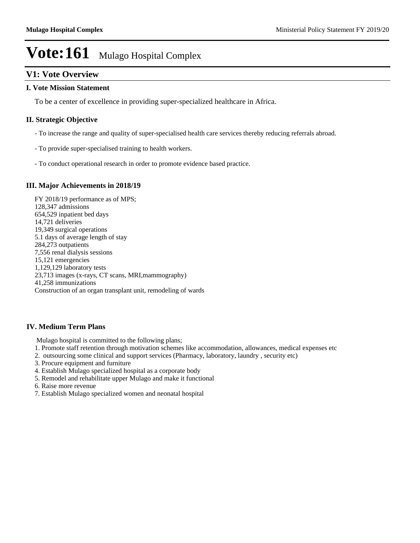### **V1: Vote Overview**

#### **I. Vote Mission Statement**

To be a center of excellence in providing super-specialized healthcare in Africa.

#### **II. Strategic Objective**

- To increase the range and quality of super-specialised health care services thereby reducing referrals abroad.
- To provide super-specialised training to health workers.
- To conduct operational research in order to promote evidence based practice.

#### **III. Major Achievements in 2018/19**

FY 2018/19 performance as of MPS; 128,347 admissions 654,529 inpatient bed days 14,721 deliveries 19,349 surgical operations 5.1 days of average length of stay 284,273 outpatients 7,556 renal dialysis sessions 15,121 emergencies 1,129,129 laboratory tests 23,713 images (x-rays, CT scans, MRI,mammography) 41,258 immunizations Construction of an organ transplant unit, remodeling of wards

#### **IV. Medium Term Plans**

Mulago hospital is committed to the following plans;

- 1. Promote staff retention through motivation schemes like accommodation, allowances, medical expenses etc
- 2. outsourcing some clinical and support services (Pharmacy, laboratory, laundry , security etc)
- 3. Procure equipment and furniture
- 4. Establish Mulago specialized hospital as a corporate body
- 5. Remodel and rehabilitate upper Mulago and make it functional
- 6. Raise more revenue
- 7. Establish Mulago specialized women and neonatal hospital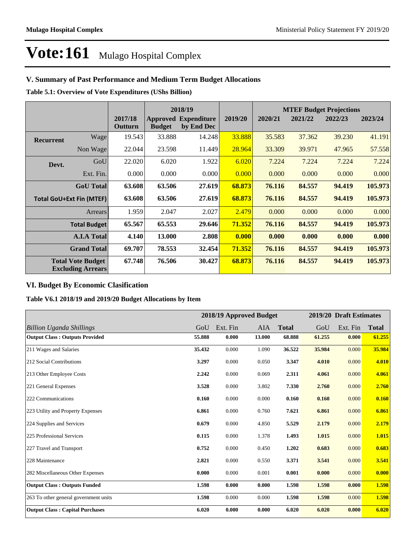### **V. Summary of Past Performance and Medium Term Budget Allocations**

**Table 5.1: Overview of Vote Expenditures (UShs Billion)**

|                  |                                                      |                    |               | 2018/19                                   |         |         |         | <b>MTEF Budget Projections</b> |         |
|------------------|------------------------------------------------------|--------------------|---------------|-------------------------------------------|---------|---------|---------|--------------------------------|---------|
|                  |                                                      | 2017/18<br>Outturn | <b>Budget</b> | <b>Approved Expenditure</b><br>by End Dec | 2019/20 | 2020/21 | 2021/22 | 2022/23                        | 2023/24 |
| <b>Recurrent</b> | Wagel                                                | 19.543             | 33.888        | 14.248                                    | 33.888  | 35.583  | 37.362  | 39.230                         | 41.191  |
|                  | Non Wage                                             | 22.044             | 23.598        | 11.449                                    | 28.964  | 33.309  | 39.971  | 47.965                         | 57.558  |
| Devt.            | GoU                                                  | 22.020             | 6.020         | 1.922                                     | 6.020   | 7.224   | 7.224   | 7.224                          | 7.224   |
|                  | Ext. Fin.                                            | 0.000              | 0.000         | 0.000                                     | 0.000   | 0.000   | 0.000   | 0.000                          | 0.000   |
|                  | <b>GoU</b> Total                                     | 63.608             | 63.506        | 27.619                                    | 68.873  | 76.116  | 84.557  | 94.419                         | 105.973 |
|                  | <b>Total GoU+Ext Fin (MTEF)</b>                      | 63.608             | 63.506        | 27.619                                    | 68.873  | 76.116  | 84.557  | 94.419                         | 105.973 |
|                  | Arrears                                              | 1.959              | 2.047         | 2.027                                     | 2.479   | 0.000   | 0.000   | 0.000                          | 0.000   |
|                  | <b>Total Budget</b>                                  | 65.567             | 65.553        | 29.646                                    | 71.352  | 76.116  | 84.557  | 94.419                         | 105.973 |
|                  | <b>A.I.A Total</b>                                   | 4.140              | 13.000        | 2.808                                     | 0.000   | 0.000   | 0.000   | 0.000                          | 0.000   |
|                  | <b>Grand Total</b>                                   | 69.707             | 78.553        | 32.454                                    | 71.352  | 76.116  | 84.557  | 94.419                         | 105.973 |
|                  | <b>Total Vote Budget</b><br><b>Excluding Arrears</b> | 67.748             | 76.506        | 30.427                                    | 68.873  | 76.116  | 84.557  | 94.419                         | 105.973 |

### **VI. Budget By Economic Clasification**

**Table V6.1 2018/19 and 2019/20 Budget Allocations by Item**

|                                        |        |          | 2018/19 Approved Budget |              |        | 2019/20 Draft Estimates |              |
|----------------------------------------|--------|----------|-------------------------|--------------|--------|-------------------------|--------------|
| Billion Uganda Shillings               | GoU    | Ext. Fin | AIA                     | <b>Total</b> | GoU    | Ext. Fin                | <b>Total</b> |
| <b>Output Class: Outputs Provided</b>  | 55.888 | 0.000    | 13.000                  | 68.888       | 61.255 | 0.000                   | 61.255       |
| 211 Wages and Salaries                 | 35.432 | 0.000    | 1.090                   | 36.522       | 35.984 | 0.000                   | 35.984       |
| 212 Social Contributions               | 3.297  | 0.000    | 0.050                   | 3.347        | 4.010  | 0.000                   | 4.010        |
| 213 Other Employee Costs               | 2.242  | 0.000    | 0.069                   | 2.311        | 4.061  | 0.000                   | 4.061        |
| 221 General Expenses                   | 3.528  | 0.000    | 3.802                   | 7.330        | 2.760  | 0.000                   | 2.760        |
| 222 Communications                     | 0.160  | 0.000    | 0.000                   | 0.160        | 0.160  | 0.000                   | 0.160        |
| 223 Utility and Property Expenses      | 6.861  | 0.000    | 0.760                   | 7.621        | 6.861  | 0.000                   | 6.861        |
| 224 Supplies and Services              | 0.679  | 0.000    | 4.850                   | 5.529        | 2.179  | 0.000                   | 2.179        |
| 225 Professional Services              | 0.115  | 0.000    | 1.378                   | 1.493        | 1.015  | 0.000                   | 1.015        |
| 227 Travel and Transport               | 0.752  | 0.000    | 0.450                   | 1.202        | 0.683  | 0.000                   | 0.683        |
| 228 Maintenance                        | 2.821  | 0.000    | 0.550                   | 3.371        | 3.541  | 0.000                   | 3.541        |
| 282 Miscellaneous Other Expenses       | 0.000  | 0.000    | 0.001                   | 0.001        | 0.000  | 0.000                   | 0.000        |
| <b>Output Class: Outputs Funded</b>    | 1.598  | 0.000    | 0.000                   | 1.598        | 1.598  | 0.000                   | 1.598        |
| 263 To other general government units  | 1.598  | 0.000    | 0.000                   | 1.598        | 1.598  | 0.000                   | 1.598        |
| <b>Output Class: Capital Purchases</b> | 6.020  | 0.000    | 0.000                   | 6.020        | 6.020  | 0.000                   | 6.020        |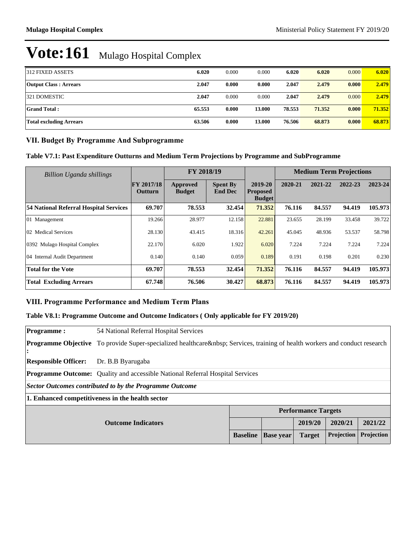| 312 FIXED ASSETS             | 6.020  | 0.000 | 0.000  | 6.020  | 6.020  | 0.000 | 6.020  |
|------------------------------|--------|-------|--------|--------|--------|-------|--------|
|                              |        |       |        |        |        |       |        |
| <b>Output Class: Arrears</b> | 2.047  | 0.000 | 0.000  | 2.047  | 2.479  | 0.000 | 2.479  |
|                              |        |       |        |        |        |       |        |
| 321 DOMESTIC                 | 2.047  | 0.000 | 0.000  | 2.047  | 2.479  | 0.000 | 2.479  |
|                              |        |       |        |        |        |       |        |
| <b>Grand Total:</b>          | 65.553 | 0.000 | 13.000 | 78.553 | 71.352 | 0.000 | 71.352 |
|                              |        |       |        |        |        |       |        |
| Total excluding Arrears      | 63.506 | 0.000 | 13.000 | 76.506 | 68.873 | 0.000 | 68.873 |
|                              |        |       |        |        |        |       |        |

#### **VII. Budget By Programme And Subprogramme**

**Table V7.1: Past Expenditure Outturns and Medium Term Projections by Programme and SubProgramme**

| Billion Uganda shillings               |                                     | FY 2018/19                       |                                   | <b>Medium Term Projections</b>              |         |         |         |         |
|----------------------------------------|-------------------------------------|----------------------------------|-----------------------------------|---------------------------------------------|---------|---------|---------|---------|
|                                        | <b>FY 2017/18</b><br><b>Outturn</b> | <b>Approved</b><br><b>Budget</b> | <b>Spent By</b><br><b>End Dec</b> | 2019-20<br><b>Proposed</b><br><b>Budget</b> | 2020-21 | 2021-22 | 2022-23 | 2023-24 |
| 54 National Referral Hospital Services | 69.707                              | 78.553                           | 32.454                            | 71.352                                      | 76.116  | 84.557  | 94.419  | 105.973 |
| 01 Management                          | 19.266                              | 28.977                           | 12.158                            | 22.881                                      | 23.655  | 28.199  | 33.458  | 39.722  |
| 02 Medical Services                    | 28.130                              | 43.415                           | 18.316                            | 42.261                                      | 45.045  | 48.936  | 53.537  | 58.798  |
| 0392 Mulago Hospital Complex           | 22.170                              | 6.020                            | 1.922                             | 6.020                                       | 7.224   | 7.224   | 7.224   | 7.224   |
| 04 Internal Audit Department           | 0.140                               | 0.140                            | 0.059                             | 0.189                                       | 0.191   | 0.198   | 0.201   | 0.230   |
| <b>Total for the Vote</b>              | 69.707                              | 78.553                           | 32.454                            | 71.352                                      | 76.116  | 84.557  | 94.419  | 105.973 |
| <b>Total Excluding Arrears</b>         | 67.748                              | 76.506                           | 30.427                            | 68.873                                      | 76.116  | 84.557  | 94.419  | 105.973 |

### **VIII. Programme Performance and Medium Term Plans**

#### **Table V8.1: Programme Outcome and Outcome Indicators ( Only applicable for FY 2019/20)**

| <b>Programme:</b>           | 54 National Referral Hospital Services                                                                                        |                 |                  |                            |            |            |  |  |  |  |
|-----------------------------|-------------------------------------------------------------------------------------------------------------------------------|-----------------|------------------|----------------------------|------------|------------|--|--|--|--|
| :                           | <b>Programme Objective</b> To provide Super-specialized healthcare  Services, training of health workers and conduct research |                 |                  |                            |            |            |  |  |  |  |
| <b>Responsible Officer:</b> | Dr. B.B Byarugaba                                                                                                             |                 |                  |                            |            |            |  |  |  |  |
|                             | <b>Programme Outcome:</b> Quality and accessible National Referral Hospital Services                                          |                 |                  |                            |            |            |  |  |  |  |
|                             | Sector Outcomes contributed to by the Programme Outcome                                                                       |                 |                  |                            |            |            |  |  |  |  |
|                             | 1. Enhanced competitiveness in the health sector                                                                              |                 |                  |                            |            |            |  |  |  |  |
|                             |                                                                                                                               |                 |                  | <b>Performance Targets</b> |            |            |  |  |  |  |
|                             | 2021/22<br>2019/20<br>2020/21<br><b>Outcome Indicators</b>                                                                    |                 |                  |                            |            |            |  |  |  |  |
|                             |                                                                                                                               | <b>Baseline</b> | <b>Base year</b> | <b>Target</b>              | Projection | Projection |  |  |  |  |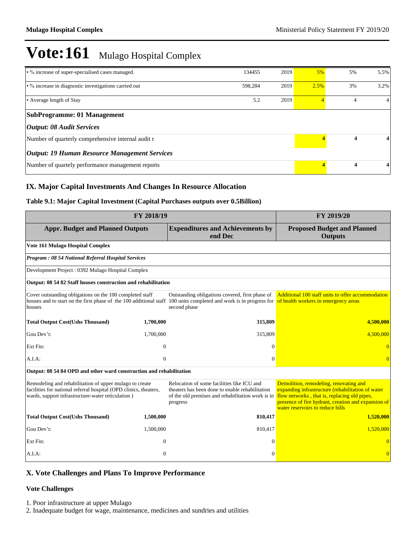| • % increase of super-specialised cases managed.      | 134455  | 2019 | 5%   | 5%                      | 5.5% |
|-------------------------------------------------------|---------|------|------|-------------------------|------|
| • % increase in diagnostic investigations carried out | 598,284 | 2019 | 2.5% | 3%                      | 3.2% |
| • Average length of Stay                              | 5.2     | 2019 |      | 4                       | 4    |
| <b>SubProgramme: 01 Management</b>                    |         |      |      |                         |      |
| <b>Output: 08 Audit Services</b>                      |         |      |      |                         |      |
| Number of quarterly comprehensive internal audit r    |         |      |      | 4                       | 4    |
| <b>Output: 19 Human Resource Management Services</b>  |         |      |      |                         |      |
| Number of quartely performance management reports     |         |      |      | $\overline{\mathbf{4}}$ | 4    |

### **IX. Major Capital Investments And Changes In Resource Allocation**

#### **Table 9.1: Major Capital Investment (Capital Purchases outputs over 0.5Billion)**

|                                                                                                                                                                                   | FY 2018/19     |                                                                                                                                                                                                                            | FY 2019/20                                                                                                                                                                                                                             |
|-----------------------------------------------------------------------------------------------------------------------------------------------------------------------------------|----------------|----------------------------------------------------------------------------------------------------------------------------------------------------------------------------------------------------------------------------|----------------------------------------------------------------------------------------------------------------------------------------------------------------------------------------------------------------------------------------|
| <b>Appr. Budget and Planned Outputs</b>                                                                                                                                           |                | <b>Expenditures and Achievements by</b><br>end Dec                                                                                                                                                                         | <b>Proposed Budget and Planned</b><br><b>Outputs</b>                                                                                                                                                                                   |
| Vote 161 Mulago Hospital Complex                                                                                                                                                  |                |                                                                                                                                                                                                                            |                                                                                                                                                                                                                                        |
| <b>Program: 08 54 National Referral Hospital Services</b>                                                                                                                         |                |                                                                                                                                                                                                                            |                                                                                                                                                                                                                                        |
| Development Project: 0392 Mulago Hospital Complex                                                                                                                                 |                |                                                                                                                                                                                                                            |                                                                                                                                                                                                                                        |
| Output: 08 54 82 Staff houses construction and rehabilitation                                                                                                                     |                |                                                                                                                                                                                                                            |                                                                                                                                                                                                                                        |
| Cover outstanding obligations on the 100 completed staff<br>houses                                                                                                                |                | Outstanding obligations covered, first phase of<br>houses and to start on the first phase of the 100 additional staff 100 units completed and work is in progress for of health workers in emergency areas<br>second phase | Additional 100 staff units to offer accommodation                                                                                                                                                                                      |
| <b>Total Output Cost(Ushs Thousand)</b>                                                                                                                                           | 1,700,000      | 315,809                                                                                                                                                                                                                    | 4,500,000                                                                                                                                                                                                                              |
| Gou Dev't:                                                                                                                                                                        | 1,700,000      | 315,809                                                                                                                                                                                                                    | 4,500,000                                                                                                                                                                                                                              |
| Ext Fin:                                                                                                                                                                          | $\overline{0}$ | $\Omega$                                                                                                                                                                                                                   |                                                                                                                                                                                                                                        |
| A.I.A:                                                                                                                                                                            | $\theta$       | $\Omega$                                                                                                                                                                                                                   | $\overline{0}$                                                                                                                                                                                                                         |
| Output: 08 54 84 OPD and other ward construction and rehabilitation                                                                                                               |                |                                                                                                                                                                                                                            |                                                                                                                                                                                                                                        |
| Remodeling and rehabilitation of upper mulago to create<br>facilities for national referral hospital (OPD clinics, theaters,<br>wards, support infrastructure-water reticulation) |                | Relocation of some facilities like ICU and<br>theaters has been done to enable rehabilitation<br>of the old premises and rehabilitation work is in<br>progress                                                             | Demolition, remodeling, renovating and<br>expanding infrastructure (rehabilitation of water<br>flow networks, that is, replacing old pipes,<br>presence of fire hydrant, creation and expansion of<br>water reservoirs to reduce bills |
| <b>Total Output Cost(Ushs Thousand)</b>                                                                                                                                           | 1,500,000      | 810,417                                                                                                                                                                                                                    | 1,520,000                                                                                                                                                                                                                              |
| Gou Dev't:                                                                                                                                                                        | 1,500,000      | 810,417                                                                                                                                                                                                                    | 1,520,000                                                                                                                                                                                                                              |
| Ext Fin:                                                                                                                                                                          | $\overline{0}$ | $\Omega$                                                                                                                                                                                                                   |                                                                                                                                                                                                                                        |
| A.I.A:                                                                                                                                                                            | $\theta$       | $\Omega$                                                                                                                                                                                                                   | $\overline{0}$                                                                                                                                                                                                                         |

### **X. Vote Challenges and Plans To Improve Performance**

#### **Vote Challenges**

1. Poor infrastructure at upper Mulago

2. Inadequate budget for wage, maintenance, medicines and sundries and utilities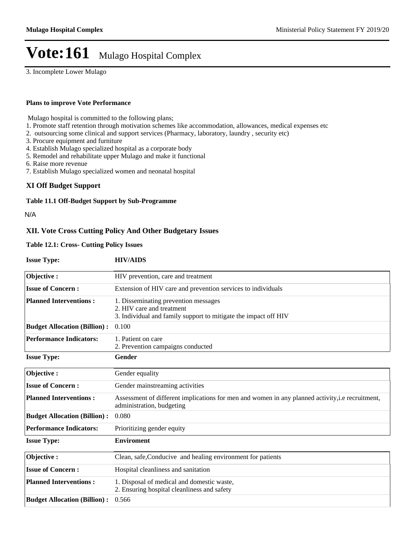3. Incomplete Lower Mulago

#### **Plans to improve Vote Performance**

Mulago hospital is committed to the following plans;

- 1. Promote staff retention through motivation schemes like accommodation, allowances, medical expenses etc
- 2. outsourcing some clinical and support services (Pharmacy, laboratory, laundry , security etc)
- 3. Procure equipment and furniture
- 4. Establish Mulago specialized hospital as a corporate body
- 5. Remodel and rehabilitate upper Mulago and make it functional
- 6. Raise more revenue
- 7. Establish Mulago specialized women and neonatal hospital

#### **XI Off Budget Support**

#### **Table 11.1 Off-Budget Support by Sub-Programme**

N/A

#### **XII. Vote Cross Cutting Policy And Other Budgetary Issues**

#### **Table 12.1: Cross- Cutting Policy Issues**

| <b>Issue Type:</b>                  | <b>HIV/AIDS</b>                                                                                                                      |
|-------------------------------------|--------------------------------------------------------------------------------------------------------------------------------------|
| Objective:                          | HIV prevention, care and treatment                                                                                                   |
| <b>Issue of Concern:</b>            | Extension of HIV care and prevention services to individuals                                                                         |
| <b>Planned Interventions:</b>       | 1. Disseminating prevention messages<br>2. HIV care and treatment<br>3. Individual and family support to mitigate the impact off HIV |
| <b>Budget Allocation (Billion):</b> | 0.100                                                                                                                                |
| <b>Performance Indicators:</b>      | 1. Patient on care<br>2. Prevention campaigns conducted                                                                              |
| <b>Issue Type:</b>                  | Gender                                                                                                                               |
| Objective:                          | Gender equality                                                                                                                      |
| <b>Issue of Concern:</b>            | Gender mainstreaming activities                                                                                                      |
| <b>Planned Interventions:</b>       | Assessment of different implications for men and women in any planned activity, i.e recruitment,<br>administration, budgeting        |
| <b>Budget Allocation (Billion):</b> | 0.080                                                                                                                                |
| <b>Performance Indicators:</b>      | Prioritizing gender equity                                                                                                           |
| <b>Issue Type:</b>                  | <b>Enviroment</b>                                                                                                                    |
| Objective:                          | Clean, safe, Conducive and healing environment for patients                                                                          |
| <b>Issue of Concern:</b>            | Hospital cleanliness and sanitation                                                                                                  |
| <b>Planned Interventions:</b>       | 1. Disposal of medical and domestic waste,<br>2. Ensuring hospital cleanliness and safety                                            |
| <b>Budget Allocation (Billion):</b> | 0.566                                                                                                                                |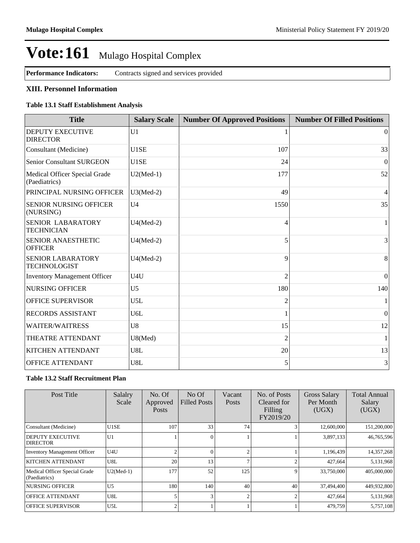Performance Indicators: Contracts signed and services provided

#### **XIII. Personnel Information**

#### **Table 13.1 Staff Establishment Analysis**

| <b>Title</b>                                    | <b>Salary Scale</b> | <b>Number Of Approved Positions</b> | <b>Number Of Filled Positions</b> |
|-------------------------------------------------|---------------------|-------------------------------------|-----------------------------------|
| <b>DEPUTY EXECUTIVE</b><br><b>DIRECTOR</b>      | U <sub>1</sub>      |                                     | $\theta$                          |
| Consultant (Medicine)                           | U1SE                | 107                                 | 33                                |
| <b>Senior Consultant SURGEON</b>                | U1SE                | 24                                  | $\Omega$                          |
| Medical Officer Special Grade<br>(Paediatrics)  | $U2(Med-1)$         | 177                                 | 52                                |
| PRINCIPAL NURSING OFFICER                       | $U3(Med-2)$         | 49                                  | $\overline{4}$                    |
| <b>SENIOR NURSING OFFICER</b><br>(NURSING)      | U <sub>4</sub>      | 1550                                | 35                                |
| SENIOR LABARATORY<br><b>TECHNICIAN</b>          | $U4(Med-2)$         | 4                                   | $\mathbf{1}$                      |
| SENIOR ANAESTHETIC<br><b>OFFICER</b>            | $U4(Med-2)$         | 5                                   | 3                                 |
| <b>SENIOR LABARATORY</b><br><b>TECHNOLOGIST</b> | $U4(Med-2)$         | 9                                   | 8                                 |
| <b>Inventory Management Officer</b>             | U4U                 | $\overline{c}$                      | $\overline{0}$                    |
| <b>NURSING OFFICER</b>                          | U <sub>5</sub>      | 180                                 | 140                               |
| <b>OFFICE SUPERVISOR</b>                        | U5L                 | 2                                   | 1                                 |
| RECORDS ASSISTANT                               | U6L                 |                                     | $\Omega$                          |
| <b>WAITER/WAITRESS</b>                          | U <sub>8</sub>      | 15                                  | 12                                |
| THEATRE ATTENDANT                               | U8(Med)             | $\overline{2}$                      | 1                                 |
| <b>KITCHEN ATTENDANT</b>                        | U8L                 | 20                                  | 13                                |
| OFFICE ATTENDANT                                | U8L                 | 5                                   | 3                                 |

#### **Table 13.2 Staff Recruitment Plan**

| Post Title                                     | Salalry<br>Scale | No. Of<br>Approved<br><b>Posts</b> | No Of<br><b>Filled Posts</b> | Vacant<br>Posts | No. of Posts<br>Cleared for<br>Filling<br>FY2019/20 | Gross Salary<br>Per Month<br>(UGX) | <b>Total Annual</b><br>Salary<br>(UGX) |
|------------------------------------------------|------------------|------------------------------------|------------------------------|-----------------|-----------------------------------------------------|------------------------------------|----------------------------------------|
| Consultant (Medicine)                          | U1SE             | 107                                | 33                           | 74              |                                                     | 12,600,000                         | 151,200,000                            |
| <b>DEPUTY EXECUTIVE</b><br><b>DIRECTOR</b>     | U <sub>1</sub>   |                                    |                              |                 |                                                     | 3,897,133                          | 46,765,596                             |
| <b>Inventory Management Officer</b>            | U <sub>4</sub> U | $\overline{c}$                     |                              |                 |                                                     | 1,196,439                          | 14,357,268                             |
| KITCHEN ATTENDANT                              | U8L              | 20                                 | 13                           |                 |                                                     | 427,664                            | 5,131,968                              |
| Medical Officer Special Grade<br>(Paediatrics) | $U2(Med-1)$      | 177                                | 52                           | 125             | $\Omega$                                            | 33,750,000                         | 405,000,000                            |
| <b>NURSING OFFICER</b>                         | U <sub>5</sub>   | 180                                | 140                          | 40              | 40                                                  | 37,494,400                         | 449,932,800                            |
| OFFICE ATTENDANT                               | U8L              |                                    | 3                            | ◠               |                                                     | 427.664                            | 5,131,968                              |
| <b>OFFICE SUPERVISOR</b>                       | U5L              | $\overline{2}$                     |                              |                 |                                                     | 479,759                            | 5,757,108                              |